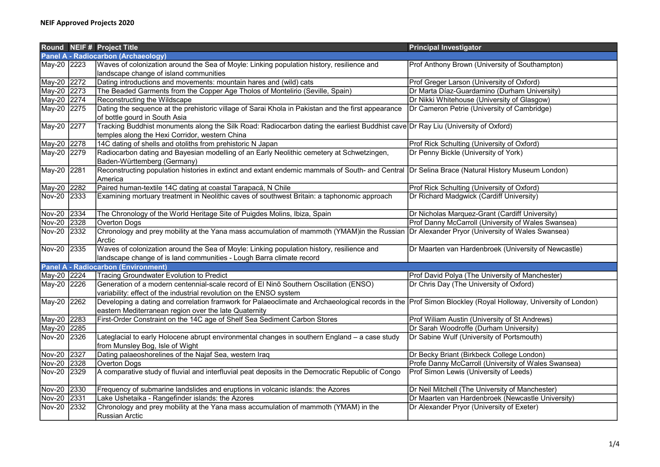|                                     |  | Round NEIF # Project Title                                                                                                                                                                                           | <b>Principal Investigator</b>                        |  |  |
|-------------------------------------|--|----------------------------------------------------------------------------------------------------------------------------------------------------------------------------------------------------------------------|------------------------------------------------------|--|--|
| Panel A - Radiocarbon (Archaeology) |  |                                                                                                                                                                                                                      |                                                      |  |  |
| May-20 2223                         |  | Waves of colonization around the Sea of Moyle: Linking population history, resilience and                                                                                                                            | Prof Anthony Brown (University of Southampton)       |  |  |
|                                     |  | landscape change of island communities                                                                                                                                                                               |                                                      |  |  |
| May-20 2272                         |  | Dating introductions and movements: mountain hares and (wild) cats                                                                                                                                                   | Prof Greger Larson (University of Oxford)            |  |  |
| May-20 2273                         |  | The Beaded Garments from the Copper Age Tholos of Montelirio (Seville, Spain)                                                                                                                                        | Dr Marta Díaz-Guardamino (Durham University)         |  |  |
| May-20 2274                         |  | Reconstructing the Wildscape                                                                                                                                                                                         | Dr Nikki Whitehouse (University of Glasgow)          |  |  |
| May-20 2275                         |  | Dating the sequence at the prehistoric village of Sarai Khola in Pakistan and the first appearance<br>of bottle gourd in South Asia                                                                                  | Dr Cameron Petrie (University of Cambridge)          |  |  |
| May-20 2277                         |  | Tracking Buddhist monuments along the Silk Road: Radiocarbon dating the earliest Buddhist cave Dr Ray Liu (University of Oxford)<br>temples along the Hexi Corridor, western China                                   |                                                      |  |  |
| May-20 2278                         |  | 14C dating of shells and otoliths from prehistoric N Japan                                                                                                                                                           | Prof Rick Schulting (University of Oxford)           |  |  |
| May-20 2279                         |  | Radiocarbon dating and Bayesian modelling of an Early Neolithic cemetery at Schwetzingen,<br>Baden-Württemberg (Germany)                                                                                             | Dr Penny Bickle (University of York)                 |  |  |
| May-20 2281                         |  | Reconstructing population histories in extinct and extant endemic mammals of South- and Central Dr Selina Brace (Natural History Museum London)<br>America                                                           |                                                      |  |  |
| May-20 2282                         |  | Paired human-textile 14C dating at coastal Tarapacá, N Chile                                                                                                                                                         | Prof Rick Schulting (University of Oxford)           |  |  |
| Nov-20 2333                         |  | Examining mortuary treatment in Neolithic caves of southwest Britain: a taphonomic approach                                                                                                                          | Dr Richard Madgwick (Cardiff University)             |  |  |
| Nov-20 2334                         |  | The Chronology of the World Heritage Site of Puigdes Molins, Ibiza, Spain                                                                                                                                            | Dr Nicholas Marquez-Grant (Cardiff University)       |  |  |
| Nov-20 2328                         |  | Overton Dogs                                                                                                                                                                                                         | Prof Danny McCarroll (University of Wales Swansea)   |  |  |
| Nov-20 2332                         |  | Chronology and prey mobility at the Yana mass accumulation of mammoth (YMAM)in the Russian<br>Arctic                                                                                                                 | Dr Alexander Pryor (University of Wales Swansea)     |  |  |
| Nov-20 2335                         |  | Waves of colonization around the Sea of Moyle: Linking population history, resilience and<br>landscape change of is land communities - Lough Barra climate record                                                    | Dr Maarten van Hardenbroek (University of Newcastle) |  |  |
|                                     |  | <b>Panel A - Radiocarbon (Environment)</b>                                                                                                                                                                           |                                                      |  |  |
| May-20 2224                         |  | Tracing Groundwater Evolution to Predict                                                                                                                                                                             | Prof David Polya (The University of Manchester)      |  |  |
| May-20 2226                         |  | Generation of a modern centennial-scale record of El Nino Southern Oscillation (ENSO)<br>variability: effect of the industrial revolution on the ENSO system                                                         | Dr Chris Day (The University of Oxford)              |  |  |
| May-20 2262                         |  | Developing a dating and correlation framwork for Palaeoclimate and Archaeological records in the Prof Simon Blockley (Royal Holloway, University of London)<br>eastern Mediterranean region over the late Quaternity |                                                      |  |  |
| May-20 2283                         |  | First-Order Constraint on the 14C age of Shelf Sea Sediment Carbon Stores                                                                                                                                            | Prof Wiliam Austin (University of St Andrews)        |  |  |
| May-20 2285                         |  |                                                                                                                                                                                                                      | Dr Sarah Woodroffe (Durham University)               |  |  |
| Nov-20 2326                         |  | Lateglacial to early Holocene abrupt environmental changes in southern England - a case study<br>from Munsley Bog, Isle of Wight                                                                                     | Dr Sabine Wulf (University of Portsmouth)            |  |  |
| Nov-20 2327                         |  | Dating palaeoshorelines of the Najaf Sea, western Iraq                                                                                                                                                               | Dr Becky Briant (Birkbeck College London)            |  |  |
| Nov-20 2328                         |  | <b>Overton Dogs</b>                                                                                                                                                                                                  | Profe Danny McCarroll (University of Wales Swansea)  |  |  |
| Nov-20 2329                         |  | A comparative study of fluvial and interfluvial peat deposits in the Democratic Republic of Congo                                                                                                                    | Prof Simon Lewis (University of Leeds)               |  |  |
| Nov-20 2330                         |  | Frequency of submarine landslides and eruptions in volcanic islands: the Azores                                                                                                                                      | Dr Neil Mitchell (The University of Manchester)      |  |  |
| Nov-20 2331                         |  | Lake Ushetaika - Rangefinder islands: the Azores                                                                                                                                                                     | Dr Maarten van Hardenbroek (Newcastle University)    |  |  |
| Nov-20 2332                         |  | Chronology and prey mobility at the Yana mass accumulation of mammoth (YMAM) in the<br><b>Russian Arctic</b>                                                                                                         | Dr Alexander Pryor (University of Exeter)            |  |  |
|                                     |  |                                                                                                                                                                                                                      |                                                      |  |  |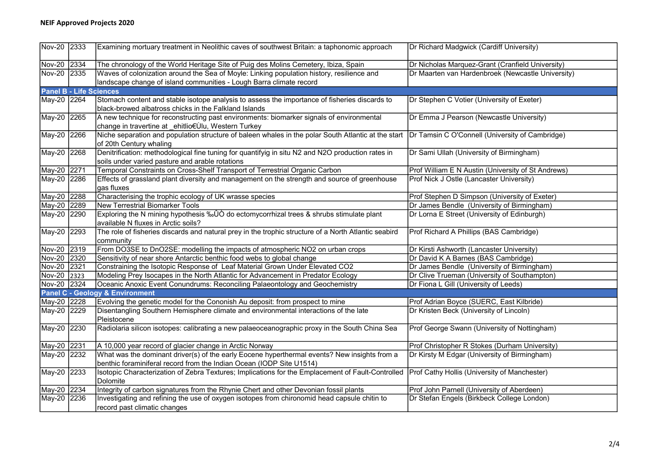## NEIF Approved Projects 2020

| Nov-20 2333                    |      | Examining mortuary treatment in Neolithic caves of southwest Britain: a taphonomic approach                                                                                    | Dr Richard Madgwick (Cardiff University)           |
|--------------------------------|------|--------------------------------------------------------------------------------------------------------------------------------------------------------------------------------|----------------------------------------------------|
| Nov-20 2334                    |      | The chronology of the World Heritage Site of Puig des Molins Cemetery, Ibiza, Spain                                                                                            | Dr Nicholas Marquez-Grant (Cranfield University)   |
| Nov-20 2335                    |      | Waves of colonization around the Sea of Moyle: Linking population history, resilience and<br>landscape change of island communities - Lough Barra climate record               | Dr Maarten van Hardenbroek (Newcastle University)  |
| <b>Panel B - Life Sciences</b> |      |                                                                                                                                                                                |                                                    |
| May-20 2264                    |      | Stomach content and stable isotope analysis to assess the importance of fisheries discards to                                                                                  | Dr Stephen C Votier (University of Exeter)         |
|                                |      | black-browed albatross chicks in the Falkland Islands                                                                                                                          |                                                    |
| May-20 2265                    |      | A new technique for reconstructing past environments: biomarker signals of environmental                                                                                       | Dr Emma J Pearson (Newcastle University)           |
|                                |      | change in travertine at _ehitlio€Ùlu, Western Turkey                                                                                                                           |                                                    |
| May-20 2266                    |      | Niche separation and population structure of baleen whales in the polar South Atlantic at the start Dr Tamsin C O'Connell (University of Cambridge)<br>of 20th Century whaling |                                                    |
| May-20 2268                    |      | Denitrification: methodological fine tuning for quantifyig in situ N2 and N2O production rates in                                                                              | Dr Sami Ullah (University of Birmingham)           |
|                                |      | soils under varied pasture and arable rotations                                                                                                                                |                                                    |
| May-20 2271                    |      | Temporal Constraints on Cross-Shelf Transport of Terrestrial Organic Carbon                                                                                                    | Prof William E N Austin (University of St Andrews) |
| May-20 2286                    |      | Effects of grassland plant diversity and management on the strength and source of greenhouse                                                                                   | Prof Nick J Ostle (Lancaster University)           |
|                                |      | gas fluxes                                                                                                                                                                     |                                                    |
| May-20 2288                    |      | Characterising the trophic ecology of UK wrasse species                                                                                                                        | Prof Stephen D Simpson (University of Exeter)      |
| May-20                         | 2289 | <b>New Terrestrial Biomarker Tools</b>                                                                                                                                         | Dr James Bendle (University of Birmingham)         |
| May-20 2290                    |      | Exploring the N mining hypothesis ‰ÛÒ do ectomycorrhizal trees & shrubs stimulate plant<br>available N fluxes in Arctic soils?                                                 | Dr Lorna E Street (University of Edinburgh)        |
| May-20                         | 2293 | The role of fisheries discards and natural prey in the trophic structure of a North Atlantic seabird<br>community                                                              | Prof Richard A Phillips (BAS Cambridge)            |
| Nov-20 2319                    |      | From DO3SE to DnO2SE: modelling the impacts of atmospheric NO2 on urban crops                                                                                                  | Dr Kirsti Ashworth (Lancaster University)          |
| Nov-20 2320                    |      | Sensitivity of near shore Antarctic benthic food webs to global change                                                                                                         | Dr David K A Barnes (BAS Cambridge)                |
| Nov-20 2321                    |      | Constraining the Isotopic Response of Leaf Material Grown Under Elevated CO2                                                                                                   | Dr James Bendle (University of Birmingham)         |
| Nov-20 2323                    |      | Modeling Prey Isocapes in the North Atlantic for Advancement in Predator Ecology                                                                                               | Dr Clive Trueman (University of Southampton)       |
| Nov-20 2324                    |      | Oceanic Anoxic Event Conundrums: Reconciling Palaeontology and Geochemistry                                                                                                    | Dr Fiona L Gill (University of Leeds)              |
|                                |      | <b>Panel C - Geology &amp; Environment</b>                                                                                                                                     |                                                    |
| May-20 2228                    |      | Evolving the genetic model for the Cononish Au deposit: from prospect to mine                                                                                                  | Prof Adrian Boyce (SUERC, East Kilbride)           |
| May-20 2229                    |      | Disentangling Southern Hemisphere climate and environmental interactions of the late<br>Pleistocene                                                                            | Dr Kristen Beck (University of Lincoln)            |
| May-20 2230                    |      | Radiolaria silicon isotopes: calibrating a new palaeoceanographic proxy in the South China Sea                                                                                 | Prof George Swann (University of Nottingham)       |
| May-20                         | 2231 | A 10,000 year record of glacier change in Arctic Norway                                                                                                                        | Prof Christopher R Stokes (Durham University)      |
| May-20 2232                    |      | What was the dominant driver(s) of the early Eocene hyperthermal events? New insights from a                                                                                   | Dr Kirsty M Edgar (University of Birmingham)       |
|                                |      | benthic foraminiferal record from the Indian Ocean (IODP Site U1514)                                                                                                           |                                                    |
| May-20 2233                    |      | Isotopic Characterization of Zebra Textures; Implications for the Emplacement of Fault-Controlled Prof Cathy Hollis (University of Manchester)                                 |                                                    |
|                                |      | Dolomite                                                                                                                                                                       |                                                    |
| May-20 2234                    |      | Integrity of carbon signatures from the Rhynie Chert and other Devonian fossil plants                                                                                          | Prof John Parnell (University of Aberdeen)         |
| May-20 2236                    |      | Investigating and refining the use of oxygen isotopes from chironomid head capsule chitin to                                                                                   | Dr Stefan Engels (Birkbeck College London)         |
|                                |      | record past climatic changes                                                                                                                                                   |                                                    |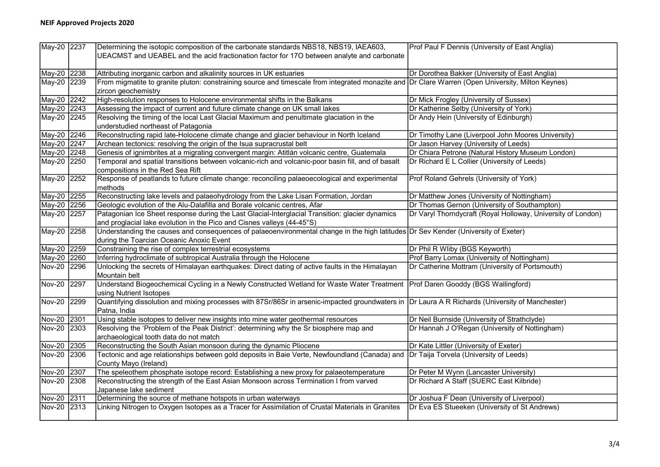| May-20 2237   |      | Determining the isotopic composition of the carbonate standards NBS18, NBS19, IAEA603,                                                            | Prof Paul F Dennis (University of East Anglia)               |
|---------------|------|---------------------------------------------------------------------------------------------------------------------------------------------------|--------------------------------------------------------------|
|               |      | UEACMST and UEABEL and the acid fractionation factor for 17O between analyte and carbonate                                                        |                                                              |
|               |      |                                                                                                                                                   |                                                              |
| May-20 2238   |      | Attributing inorganic carbon and alkalinity sources in UK estuaries                                                                               | Dr Dorothea Bakker (University of East Anglia)               |
| May-20 2239   |      | From migmatite to granite pluton: constraining source and timescale from integrated monazite and Dr Clare Warren (Open University, Milton Keynes) |                                                              |
|               |      | zircon geochemistry                                                                                                                               |                                                              |
| May-20 2242   |      | High-resolution responses to Holocene environmental shifts in the Balkans                                                                         | Dr Mick Frogley (University of Sussex)                       |
| May-20 2243   |      | Assessing the impact of current and future climate change on UK small lakes                                                                       | Dr Katherine Selby (University of York)                      |
| May-20 2245   |      | Resolving the timing of the local Last Glacial Maximum and penultimate glaciation in the                                                          | Dr Andy Hein (University of Edinburgh)                       |
|               |      | understudied northeast of Patagonia                                                                                                               |                                                              |
| May-20 2246   |      | Reconstructing rapid late-Holocene climate change and glacier behaviour in North Iceland                                                          | Dr Timothy Lane (Liverpool John Moores University)           |
| May-20 2247   |      | Archean tectonics: resolving the origin of the Isua supracrustal belt                                                                             | Dr Jason Harvey (University of Leeds)                        |
| May-20 2248   |      | Genesis of ignimbrites at a migrating convergent margin: Atitlán volcanic centre, Guatemala                                                       | Dr Chiara Petrone (Natural History Museum London)            |
| May-20 2250   |      | Temporal and spatial transitions between volcanic-rich and volcanic-poor basin fill, and of basalt                                                | Dr Richard E L Collier (University of Leeds)                 |
|               |      | compositions in the Red Sea Rift                                                                                                                  |                                                              |
| May-20 2252   |      | Response of peatlands to future climate change: reconciling palaeoecological and experimental                                                     | Prof Roland Gehrels (University of York)                     |
|               |      | methods                                                                                                                                           |                                                              |
| May-20 2255   |      | Reconstructing lake levels and palaeohydrology from the Lake Lisan Formation, Jordan                                                              | Dr Matthew Jones (University of Nottingham)                  |
| May-20 2256   |      | Geologic evolution of the Alu-Dalafilla and Borale volcanic centres, Afar                                                                         | Dr Thomas Gernon (University of Southampton)                 |
| May-20 2257   |      | Patagonian Ice Sheet response during the Last Glacial-Interglacial Transition: glacier dynamics                                                   | Dr Varyl Thorndycraft (Royal Holloway, University of London) |
|               |      | and proglacial lake evolution in the Pico and Cisnes valleys (44-45°S)                                                                            |                                                              |
| May-20 2258   |      | Understanding the causes and consequences of palaeoenvironmental change in the high latitudes Dr Sev Kender (University of Exeter)                |                                                              |
|               |      | during the Toarcian Oceanic Anoxic Event                                                                                                          |                                                              |
| May-20 2259   |      | Constraining the rise of complex terrestrial ecosystems                                                                                           | Dr Phil R Wliby (BGS Keyworth)                               |
| May-20 2260   |      | Inferring hydroclimate of subtropical Australia through the Holocene                                                                              | Prof Barry Lomax (University of Nottingham)                  |
| Nov-20 2296   |      | Unlocking the secrets of Himalayan earthquakes: Direct dating of active faults in the Himalayan                                                   | Dr Catherine Mottram (University of Portsmouth)              |
|               |      | Mountain belt                                                                                                                                     |                                                              |
| Nov-20 2297   |      | Understand Biogeochemical Cycling in a Newly Constructed Wetland for Waste Water Treatment   Prof Daren Gooddy (BGS Wallingford)                  |                                                              |
|               |      | using Nutrient Isotopes                                                                                                                           |                                                              |
| <b>Nov-20</b> | 2299 | Quantifying dissolution and mixing processes with 87Sr/86Sr in arsenic-impacted groundwaters in Dr Laura A R Richards (University of Manchester)  |                                                              |
|               |      | Patna, India                                                                                                                                      |                                                              |
| Nov-20 2301   |      | Using stable isotopes to deliver new insights into mine water geothermal resources                                                                | Dr Neil Burnside (University of Strathclyde)                 |
| Nov-20 2303   |      | Resolving the 'Problem of the Peak District': determining why the Sr biosphere map and                                                            | Dr Hannah J O'Regan (University of Nottingham)               |
|               |      | archaeological tooth data do not match                                                                                                            |                                                              |
| Nov-20 2305   |      | Reconstructing the South Asian monsoon during the dynamic Pliocene                                                                                | Dr Kate Littler (University of Exeter)                       |
| Nov-20 2306   |      | Tectonic and age relationships between gold deposits in Baie Verte, Newfoundland (Canada) and Dr Taija Torvela (University of Leeds)              |                                                              |
|               |      | County Mayo (Ireland)                                                                                                                             |                                                              |
| Nov-20 2307   |      | The speleothem phosphate isotope record: Establishing a new proxy for palaeotemperature                                                           | Dr Peter M Wynn (Lancaster University)                       |
| Nov-20 2308   |      | Reconstructing the strength of the East Asian Monsoon across Termination I from varved                                                            | Dr Richard A Staff (SUERC East Kilbride)                     |
|               |      | Japanese lake sediment                                                                                                                            |                                                              |
| Nov-20 2311   |      | Determining the source of methane hotspots in urban waterways                                                                                     | Dr Joshua F Dean (University of Liverpool)                   |
| Nov-20 2313   |      | Linking Nitrogen to Oxygen Isotopes as a Tracer for Assimilation of Crustal Materials in Granites                                                 | Dr Eva ES Stueeken (University of St Andrews)                |
|               |      |                                                                                                                                                   |                                                              |